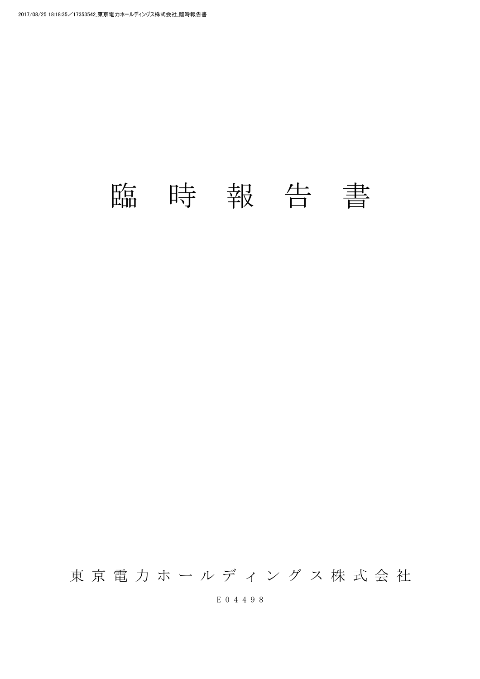## 臨 時 報 告 書

東 京 電 力 ホ ー ル デ ィ ン グ ス 株 式 会 社

E 0 4 4 9 8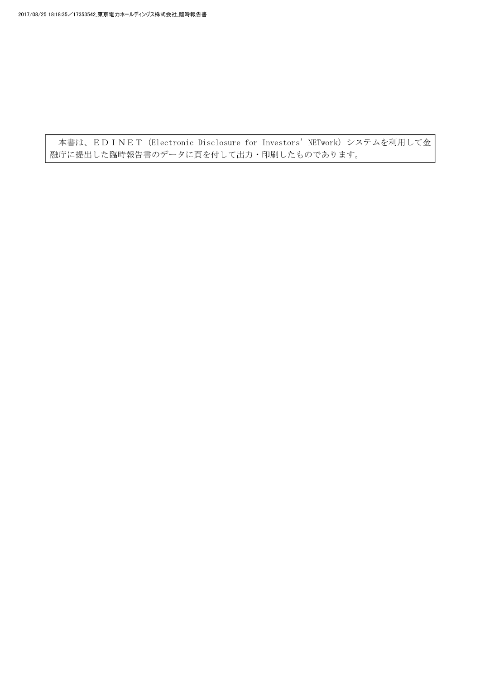本書は、EDINET (Electronic Disclosure for Investors' NETwork) システムを利用して金 融庁に提出した臨時報告書のデータに頁を付して出力・印刷したものであります。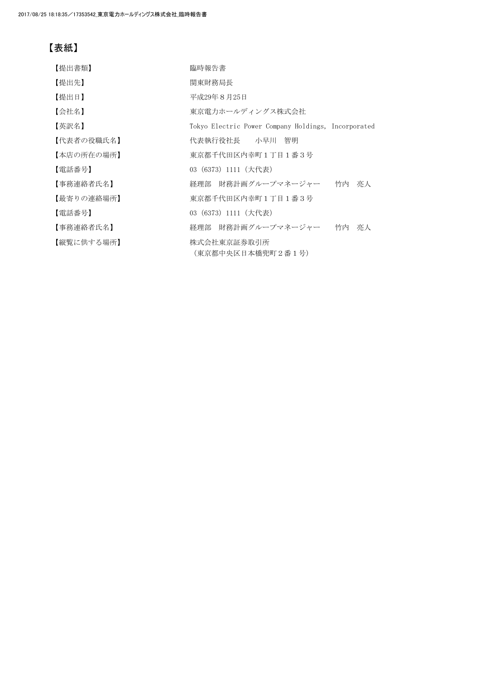## 【表紙】

| 【提出書類】     | 臨時報告書                                               |
|------------|-----------------------------------------------------|
| 【提出先】      | 関東財務局長                                              |
| 【提出日】      | 平成29年8月25日                                          |
| 【会社名】      | 東京電力ホールディングス株式会社                                    |
| 【英訳名】      | Tokyo Electric Power Company Holdings, Incorporated |
| 【代表者の役職氏名】 | 代表執行役社長 小早川 智明                                      |
| 【本店の所在の場所】 | 東京都千代田区内幸町1丁目1番3号                                   |
| 【電話番号】     | 03 (6373) 1111 (大代表)                                |
| 【事務連絡者氏名】  | 経理部 財務計画グループマネージャー 竹内 亮人                            |
| 【最寄りの連絡場所】 | 東京都千代田区内幸町1丁目1番3号                                   |
| 【電話番号】     | 03 (6373) 1111 (大代表)                                |
| 【事務連絡者氏名】  | 財務計画グループマネージャー<br>竹内 亮人<br>経理部                      |
| 【縦覧に供する場所】 | 株式会社東京証券取引所<br>(東京都中央区日本橋兜町2番1号)                    |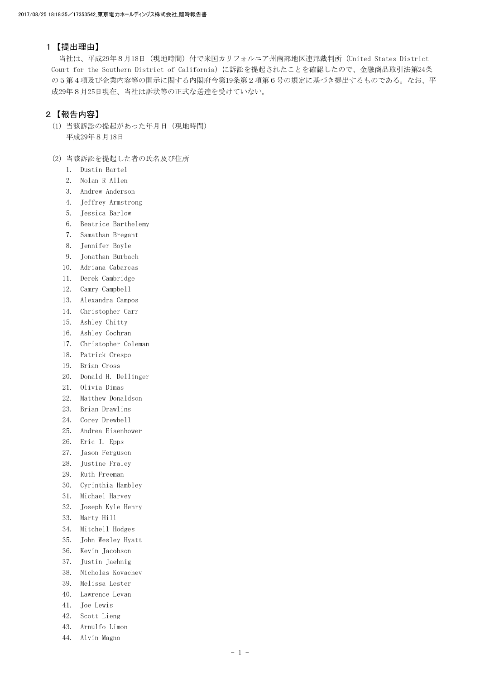## 1【提出理由】

 当社は、平成29年8月18日(現地時間)付で米国カリフォルニア州南部地区連邦裁判所(United States District Court for the Southern District of California)に訴訟を提起されたことを確認したので、金融商品取引法第24条 の5第4項及び企業内容等の開示に関する内閣府令第19条第2項第6号の規定に基づき提出するものである。なお、平 成29年8月25日現在、当社は訴状等の正式な送達を受けていない。

## 2【報告内容】

- (1)当該訴訟の提起があった年月日(現地時間) 平成29年8月18日
- (2)当該訴訟を提起した者の氏名及び住所
	- 1. Dustin Bartel
	- 2. Nolan R Allen
	- 3. Andrew Anderson
	- 4. Jeffrey Armstrong
	- 5. Jessica Barlow
	- 6. Beatrice Barthelemy
	- 7. Samathan Bregant
	- 8. Jennifer Boyle
	- 9. Jonathan Burbach
	- 10. Adriana Cabarcas
	- 11. Derek Cambridge
	- 12. Camry Campbell
	- 13. Alexandra Campos
	- 14. Christopher Carr
	- 15. Ashley Chitty
	- 16. Ashley Cochran
	- 17. Christopher Coleman
	- 18. Patrick Crespo
	- 19. Brian Cross
	- 20. Donald H. Dellinger
	- 21. Olivia Dimas
	- 22. Matthew Donaldson
	- 23. Brian Drawlins
	- 24. Corey Drewbell
	- 25. Andrea Eisenhower
	- 26. Eric I. Epps
	- 27. Jason Ferguson
	- 28. Justine Fraley
	- 29. Ruth Freeman
	- 30. Cyrinthia Hambley
	- 31. Michael Harvey
	- 32. Joseph Kyle Henry
	- 33. Marty Hill
	- 34. Mitchell Hodges
	- 35. John Wesley Hyatt
	- 36. Kevin Jacobson
	- 37. Justin Jaehnig
	- 38. Nicholas Kovachev
	- 39. Melissa Lester
	- 40. Lawrence Levan
	- 41. Joe Lewis
	- 42. Scott Lieng
	- 43. Arnulfo Limon
	- 44. Alvin Magno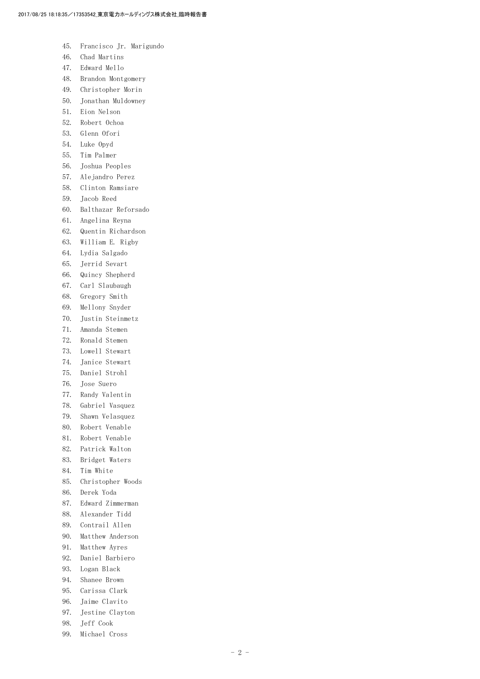- 45. Francisco Jr. Marigundo
- 46. Chad Martins
- 47. Edward Mello
- 48. Brandon Montgomery
- 49. Christopher Morin
- 50. Jonathan Muldowney
- 51. Eion Nelson
- 52. Robert Ochoa
- 53. Glenn Ofori
- 54. Luke Opyd
- 55. Tim Palmer
- 56. Joshua Peoples
- 57. Alejandro Perez
- 58. Clinton Ramsiare
- 59. Jacob Reed
- 60. Balthazar Reforsado
- 61. Angelina Reyna
- 62. Quentin Richardson
- 63. William E. Rigby
- 64. Lydia Salgado
- 65. Jerrid Sevart
- 66. Quincy Shepherd
- 67. Carl Slaubaugh
- 68. Gregory Smith
- 69. Mellony Snyder
- 70. Justin Steinmetz
- 71. Amanda Stemen
- 72. Ronald Stemen
- 73. Lowell Stewart
- 74. Janice Stewart
- 75. Daniel Strohl
- 76. Jose Suero
- 77. Randy Valentin
- 78. Gabriel Vasquez
- 79. Shawn Velasquez
- 80. Robert Venable
- 81. Robert Venable
- 82. Patrick Walton
- 83. Bridget Waters
- 84. Tim White
- 85. Christopher Woods
- 86. Derek Yoda
- 87. Edward Zimmerman
- 88. Alexander Tidd
- 89. Contrail Allen
- 90. Matthew Anderson
- 91. Matthew Ayres
- 92. Daniel Barbiero
- 93. Logan Black
- 94. Shanee Brown
- 95. Carissa Clark
- 96. Jaime Clavito
- 97. Jestine Clayton
- 98. Jeff Cook
- 99. Michael Cross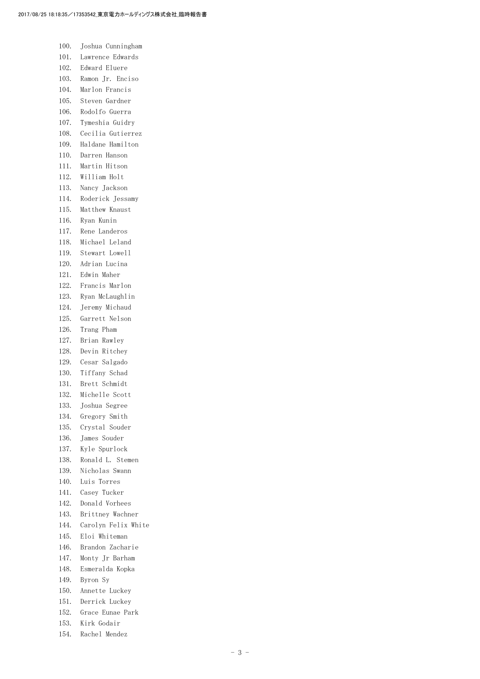| 100.         | Joshua Cunningham                  |
|--------------|------------------------------------|
| 101.         | Lawrence Edwards                   |
| 102.         | Edward Eluere                      |
| 103.         | Ramon Jr. Enciso                   |
| 104.         | Marlon Francis                     |
| 105.         | Steven Gardner                     |
| 106.         | Rodolfo Guerra                     |
| 107.         | Tymeshia Guidry                    |
| 108.         | Cecilia Gutierrez                  |
| 109.         | Haldane Hamilton                   |
| 110.         | Darren Hanson                      |
| 111.         | Martin Hitson                      |
| 112.         | William Holt                       |
| 113.         | Nancy Jackson                      |
| 114.         | Roderick Jessamy                   |
| 115.         | Matthew Knaust                     |
| 116.         | Rvan Kunin                         |
| 117.         | Rene Landeros                      |
| 118.         | Michael Leland                     |
| 119.         | Stewart Lowell                     |
| 120.         | Adrian Lucina                      |
| 121.         | Edwin Maher                        |
| 122.         | Francis Marlon                     |
| 123.         | Ryan McLaughlin                    |
| 124.         | Jeremy Michaud                     |
| 125.         | Garrett Nelson                     |
| 126.         | Trang Pham                         |
| 127.         | Brian Rawley                       |
| 128.         | Devin Ritchey                      |
| 129.         | Cesar Salgado                      |
| 130.         | Tiffany Schad                      |
| 131.         | Brett Schmidt                      |
| 132.         | Michelle Scott                     |
| 133.         | Joshua Segree                      |
| 134.         | Gregory Smith                      |
| 135.         | Crystal Souder                     |
| 136.         | James Souder                       |
| 137.         | Kyle Spurlock                      |
| 138.         | Ronald L. Stemen                   |
| 139.         | Nicholas Swann                     |
| 140.         | Luis Torres                        |
| 141.         | Casey Tucker                       |
| 142.         | Donald Vorhees                     |
| 143.         | Brittney Wachner                   |
| 144.         | Carolyn Felix White                |
| 145.         | Eloi Whiteman                      |
| 146.         | Brandon Zacharie                   |
| 147.         | Monty Jr Barham                    |
| 148.         | Esmeralda Kopka                    |
| 149.         | Byron Sy                           |
| 150.<br>151. | Annette Luckey                     |
| 152.         | Derrick Luckey<br>Grace Eunae Park |
| 153.         | Kirk Godair                        |
|              |                                    |

154. Rachel Mendez